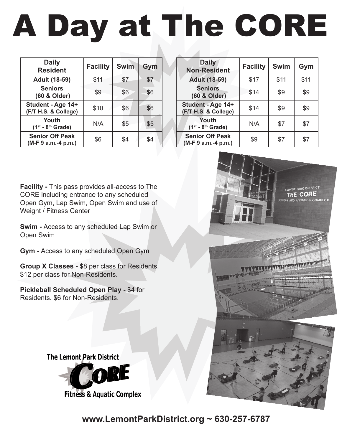# **CORE GEAR AND SILVER BURST.** A Day at The CORE

| <b>Daily</b><br><b>Resident</b>               | <b>Facility</b> | <b>Swim</b> | Gym |
|-----------------------------------------------|-----------------|-------------|-----|
| <b>Adult (18-59)</b>                          | \$11            | \$7         | \$7 |
| <b>Seniors</b><br>(60 & Older)                | \$9             | \$6         | \$6 |
| Student - Age 14+<br>(F/T H.S. & College)     | \$10            | \$6         | \$6 |
| Youth<br>$(1st - 8th$ Grade)                  | N/A             | \$5         | \$5 |
| <b>Senior Off Peak</b><br>(M-F 9 a.m.-4 p.m.) | \$6             | \$4         | \$4 |

| <b>Daily</b><br><b>Non-Resident</b>           | <b>Facility</b> | <b>Swim</b> | Gym  |
|-----------------------------------------------|-----------------|-------------|------|
| <b>Adult (18-59)</b>                          | \$17            | \$11        | \$11 |
| <b>Seniors</b><br>(60 & Older)                | \$14            | \$9         | \$9  |
| Student - Age 14+<br>(F/T H.S. & College)     | \$14            | \$9         | \$9  |
| Youth<br>$(1st - 8th$ Grade)                  | N/A             | \$7         | \$7  |
| <b>Senior Off Peak</b><br>(M-F 9 a.m.-4 p.m.) | \$9             | \$7         | \$7  |

**Facility -** This pass provides all-access to The CORE including entrance to any scheduled Open Gym, Lap Swim, Open Swim and use of Weight / Fitness Center

**Swim -** Access to any scheduled Lap Swim or Open Swim

**Gym -** Access to any scheduled Open Gym

**Group X Classes -** \$8 per class for Residents. \$12 per class for Non-Residents.

**Pickleball Scheduled Open Play -** \$4 for Residents. \$6 for Non-Residents.



**IE CORE** 

**The Lemont Park District** 



**Fitness & Aquatic Complex** 

**www.LemontParkDistrict.org ~ 630-257-6787**